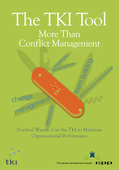# The TKI Tool More Than Conflict Management

development

Practical Ways to Use the TKI to Maximise Organisational Performance

retention



change<br>management



team building

performance improvement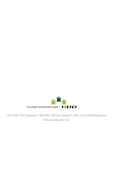

+61 3 9342 1300 (Australia) | 0800 000 159 (New Zealand) | 1800 1 611 0298 (Philippines) www.cppasiapacific.com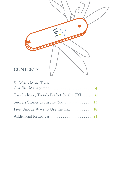| <b>CONTENTS</b>                           |
|-------------------------------------------|
| So Much More Than<br>Conflict Management  |
| Two Industry Trends Perfect for the TKI 8 |

| Five Unique Ways to Use the TKI  18 |  |
|-------------------------------------|--|
|                                     |  |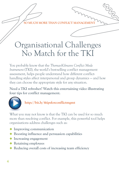**So Much More Than Conflict Management**

# Organisational Challenges No Match for the TKI

You probably know that the *Thomas-Kilmann Conflict Mode Instrument* (TKI), the world's best-selling conflict management assessment, helps people understand how different conflicthandling styles affect interpersonal and group dynamics — and how they can choose the appropriate style for any situation.

**Need a TKI refresher? Watch this entertaining video illustrating four tips for conflict management.** 



#### **http://bit.ly/4tipsforconflictmgmt**

What you may not know is that the TKI can be used for so much more than resolving conflict. For example, this powerful tool helps organisations address challenges such as:

- ◆ Improving communication
- ◆ Boosting influence and persuasion capabilities
- ◆ Increasing engagement
- ◆ **Retaining employees**
- ◆ **Reducing overall costs of increasing team efficiency**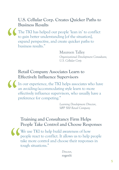#### **U.S. Cellular Corp. Creates Quicker Paths to Business Results**

The TKI has helped our people 'lean in' to conflict to gain better understanding [of the situation], expand perspective, and create quicker paths to business results." "

Maureen Talley *Organizational Development Consultant, U.S. Cellular Corp.*

#### **Retail Company Associates Learn to Effectively Influence Supervisors**

In our experience, the TKI helps associates who have an avoiding/accommodating style learn to more effectively influence supervisors, who usually have a preference for competing." "

*Learning Development Director*, *S&P 500 Retail Company* 

#### **Training and Consultancy Firm Helps People Take Control and Choose Responses**

We use TKI to help build awareness of how people react to conflict. It allows us to help people take more control and choose their responses in tough situations."  $\sum_{\substack{1\\0\\0\\1}}$ 

*Director*, rogenSi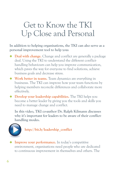# Get to Know the TKI Up Close and Personal

**In addition to helping organisations, the TKI can also serve as a personal improvement tool to help you:**

- ◆ **Deal with change.** Change and conflict are generally a package deal. Using the TKI to understand the different conflicthandling behaviours can help you improve communication, which paves the way for everyone to find solutions, achieve business goals and decrease stress.
- ◆ **Work better in teams.** Team dynamics are everything in businesss. The TKI can improve how your team functions by helping members reconcile differences and collaborate more effectively.
- ◆ **Develop your leadership capabilities.** The TKI helps you become a better leader by giving you the tools and skills you need to manage change and conflict.

 **In this video, TKI co-author Dr. Ralph Kilmann discusses why it's important for leaders to be aware of their conflicthandling modes.**



## **[http://bit.ly/leadership\\_conflict](https://www.youtube.com/watch?v=Mnb_-1A--GI)**

**Improve your performance.** In today's competitive environment, organisations need people who are dedicated to continuous improvement in themselves and others. The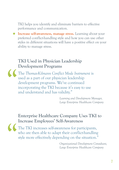TKI helps you identify and eliminate barriers to effective performance and communication.

◆ **Increase self-awareness, manage stress.** Learning about your preferred conflict-handling style and how you can use other styles in different situations will have a positive effect on your ability to manage stress.

#### **TKI Used in Physician Leadership Development Programs**

The *Thomas-Kilmann Conflict Mode Instrument* is used as a part of our physician leadership development programs. We've continued incorporating the TKI because it's easy to use and understand and has validity." "

*Learning and Development Manager, Large Enterprise Healthcare Company*

#### **Enterprise Healthcare Company Uses TKI to Increase Employees' Self-Awareness**

The TKI increases self-awareness for participants, who are then able to adapt their conflict-handling style more effectively depending on the situation." "

*Organizational Development Consultant, Large Enterprise Healthcare Company*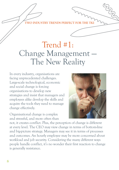**Two Industry Trends Perfect for the TKI**

## Trend #1: Change Management — The New Reality

In every industry, organisations are facing unprecedented challenges. Large-scale technological, economic and social change is forcing organisations to develop new strategies and insist that managers and employees alike develop the skills and acquire the tools they need to manage change effectively.

Organisational change is complex and stressful, and more often than



not, it creates conflict. Plus, the perception of change is different at every level. The CEO may view change in terms of bottom-line and big-picture strategy. Managers may see it in terms of processes and outcomes. An hourly employee may be more concerned about workload and job security. Considering the many different ways people handle conflict, it's no wonder their first reaction to change is generally resistance.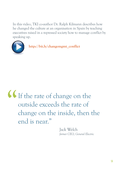In this video, TKI co-author Dr. Ralph Kilmann describes how he changed the culture at an organisation in Spain by teaching executives raised in a repressed society how to manage conflict by speaking up.



 **[http://bit.ly/changemgmt\\_conflict](https://www.youtube.com/watch?v=iGw7sPMr4m8)**

If the rate of change on the outside exceeds the rate of change on the inside, then the end is near." "

> Jack Welch *former CEO, General Electric*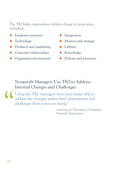The TKI helps organisations address change in many areas, including:

- ◆ **Employee turnover**
- ◆ **Technology**
- ◆ **Products and marketing**
- ◆ **Customer relationships**
- ◆ **Organisational structure**
- ◆ **Integration**
- ◆ **Mission and strategy**
- ◆ **Culture**
- ◆ **Knowledge**
- ◆ Policies and processes

#### **Nonprofit Managers Use TKI to Address Internal Changes and Challenges**

Using the TKI, managers have been better able to address the changes within their departments and challenges their teams are facing." "

*Learning and Development Consultant, Nonprofit Organisation*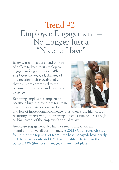## Trend #2: Employee Engagement — No Longer Just a "Nice to Have"

Every year companies spend billions of dollars to keep their employees engaged — for good reason. When employees are engaged, challenged and meeting their growth goals, they are more committed to the organisation's success and less likely to resign.

Retaining employees is important because a high turnover rate results in lower productivity, overworked staff

and loss of institutional knowledge. Plus, there's the high cost of recruiting, interviewing and training — some estimates are as high as 150 percent of the employee's annual salary.

Employee engagement also has a dramatic impact on an organisation's overall performance. **A 2013 Gallup research study\* found that the top 25% of teams (the best managed) have nearly 50% fewer accidents and 41% fewer quality defects than the bottom 25% (the worst managed) in any workplace.**

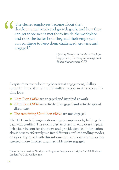The clearer employees become about their developmental needs and growth goals, and how they can get those needs met (both inside the workplace and out), the better both they and their employers can continue to keep them challenged, growing and engaged." "

> *Cycles of Success: A Guide to Employee Engagement, Trending Technology, and Talent Management,* CPP

Despite these overwhelming benefits of engagement, Gallup research\* found that of the 100 million people in America in fulltime jobs:

- ◆ **30 million** (30%) are engaged and inspired at work
- ◆ **20 million (20%)** are actively disengaged and actively spread **discontent**
- ◆ **The remaining 50 million (50%)** are not engaged

The TKI can help organisations engage employees by helping them deal with conflict. The tool is used to assess an employee's typical behaviour in conflict situations and provide detailed information about how to effectively use five different conflict-handling modes, or styles. Equipped with this information, employees becomes less stressed, more inspired and inevitably more engaged.

"State of the American Workplace: Employee Engagement Insights for U.S. Business Leaders." © 2013 Gallup, Inc.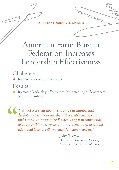**Success Sto ries to Inspire You**

## American Farm Bureau Federation Increases Leadership Effectiveness

## **Challenge**

◆ Increase leadership effectiveness

#### Results

 $\blacklozenge$  Increased leadership effectiveness by increasing self-awareness of team members

*The TKI is a great instrument to use in training and development with our members. It is simple and easy to understand. It integrates well when using it in conjunction with the MBTI® assessment . . . it is a great way to add an additional layer of self-awareness for team members."* "

John Torres *Director, Leadership Development, American Farm Bureau Federation*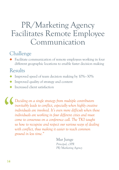# PR/Marketing Agency Facilitates Remote Employee Communication

## **Challenge**

◆ Facilitate communication of remote employees working in four different geographic locations to enable faster decision making

## Results

- Improved speed of team decision making by 10%–30%
- Improved quality of strategy and content
- Increased client satisfaction

*Deciding on a single strategy from multiple contributors inevitably leads to conflict, especially when highly creative individuals are involved. It's even more difficult when those individuals are working in four different cities and must come to consensus on a conference call. The TKI taught us how to recognise and respect our various ways of dealing with conflict, thus making it easier to reach common ground in less time."*  "

> Mar Junge *Principal, c3PR PR/Marketing Agency*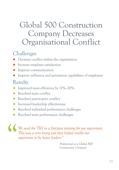# Global 500 Construction Company Decreases Organisational Conflict

## **Challenges**

- ◆ Decrease conflict within the organisation
- ◆ Increase employee satisfaction
- ◆ Improve communication
- ◆ Improve influence and persuasion capabilities of employees

## Results

- Improved team efficiency by 11%–20%
- Resolved team conflict
- ◆ Resolved peer-to-peer conflict
- ◆ Increased leadership effectiveness
- ◆ Resolved individual performance challenges
- ◆ Resolved team performance challenges

*We used the TKI in a first-pass training for our supervisors. This was a very strong tool that helped enable our supervisors to be better leaders."*  "

*Professional at a Global 500 Construction Company*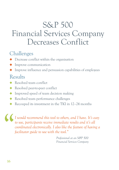# S&P 500 Financial Services Company Decreases Conflict

## **Challenges**

- ◆ Decrease conflict within the organisation
- ◆ Improve communication
- Improve influence and persuasion capabilities of employees

#### Results

- Resolved team conflict
- Resolved peer-to-peer conflict
- Improved speed of team decision making
- ◆ Resolved team performance challenges
- ◆ Recouped its investment in the TKI in 12–24 months

*I would recommend this tool to others, and I have. It's easy to use, participants receive immediate results and it's all coordinated electronically. I also like the feature of having a facilitator guide to use with the tool."*  "

*Professional at an S&P 500 Financial Services Company*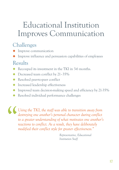# Educational Institution Improves Communication

## **Challenges**

- Improve communication
- Improve influence and persuasion capabilities of employees

## Results

- Recouped its investment in the TKI in 3-6 months.
- ◆ Decreased team conflict by 21–35%
- ◆ Resolved peer-to-peer conflict
- ◆ Increased leadership effectiveness
- $\blacklozenge$  Improved team decision-making speed and efficiency by 21-35%
- ◆ Resolved individual performance challenges

*Using the TKI, the staff was able to transition away from destroying one another's personal character during conflict to a greater understanding of what motivates one another's reactions to conflict. As a result, they have deliberately modified their conflict style for greater effectiveness."*  "

*Representative, Educational Institution Staff*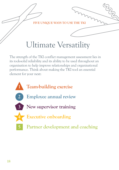# Ultimate Versatility **Five Unique Ways to Use the TKI**

The strength of the TKI conflict management assessment lies in its rock-solid reliability and its ability to be used throughout an organisation to help improve relationships and organisational performance. Think about making the TKI tool an essential element for your next:

- **1 Team-building exercise 2 Employee annual review 3 New supervisor training 4 Executive onboarding**
	- **Partner development and coaching**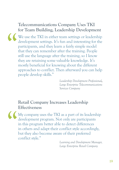#### **Telecommunications Company Uses TKI for Team Building, Leadership Development**

We use the TKI in either team settings or leadership development settings. It's fun and interesting for the participants, and they learn a fairly simple model that they can remember after the training. People still use the language after the training, so I know they are retaining some valuable knowledge. It's mostly beneficial for knowing about the different approaches to conflict. Then afterward you can help people develop skills." "

> *Leadership Development Professional*, *Large Enterprise Telecommunications Services Company*

#### **Retail Company Increases Leadership Effectiveness**

My company uses the TKI as a part of its leadership development program. Not only are participants in this program better able to detect differences in others and adapt their conflict style accordingly, but they also become aware of their preferred conflict style." "

> *Learning and Development Manager, Large Enterprise Retail Company*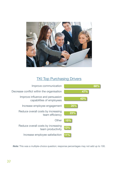

#### **TKI Top Purchasing Drivers**



*Note:* This was a multiple-choice question; response percentages may not add up to 100.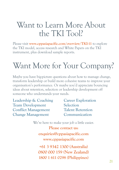## Want to Learn More About the TKI Tool?

Please visit **www.cppasiapacific.com/overview/TKI-11** to explore the TKI model, access research and White Papers on the TKI instrument, plus download sample reports.

# Want More for Your Company?

Maybe you have big-picture questions about how to manage change, transform leadership or build more cohesive teams to improve your organisation's performance. Or maybe you'd appreciate bouncing ideas about retention, selection or leadership development off someone who understands your needs.

**Leadership & Coaching Career Exploration Team Development Selection Conflict Management Talent Retention Change Management Communication**

We're here to make your job a little easier.

**Please contact us: enquiries@cppasiapacific.com www.cppasiapacific.com**

**+61 3 9342 1300 (Australia) 0800 000 159 (New Zealand) 1800 1 611 0298 (Philippines)**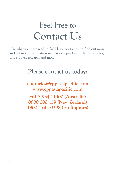# Feel Free to **Contact Us**

Like what you have read so far? Please contact us to find out more and get more information such as new products, relevant articles, case studies, research and more.

## **Please contact us today:**

**enquiries@cppasiapacific.com www.cppasiapacific.com**

**+61 3 9342 1300 (Australia) 0800 000 159 (New Zealand) 1800 1 611 0298 (Philippines)**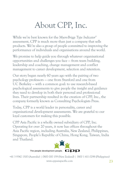# About CPP, Inc.

While we're best known for the *Myers-Briggs Type Indicator®* assessment, CPP is much more than just a company that sells products. We're also a group of people committed to improving the performance of individuals and organisations around the world.

We promise to help guide you through whatever organisational opportunities and challenges you face — from team building, leadership and coaching, change management and conflict management to career development, selection and retention.

Our story began nearly 60 years ago with the pairing of two psychology professors — one from Stanford and one from UC Berkeley — with a common goal: to use research-based psychological assessments to give people the insight and guidance they need to develop in both their personal and professional lives. Their partnership resulted in the creation of CPP, Inc., the company formerly known as Consulting Psychologists Press.

Today, CPP is a world leader in personality, career and organisational development assessments. We are grateful to our loyal customers for making this possible.

CPP Asia Pacific is a wholly owned subsidiary of CPP, Inc. Operating for over 20 years, it now has offices throughout the Asia Pacific region, including Australia, New Zealand, Philippines, Singapore, People's Republic of China, Hong Kong, Taiwan, India and Thailand.



+61 3 9342 1300 (Australia) | 0800 000 159 (New Zealand) | 1800 1 611 0298 (Philippines) www.cppasiapacific.com **23**